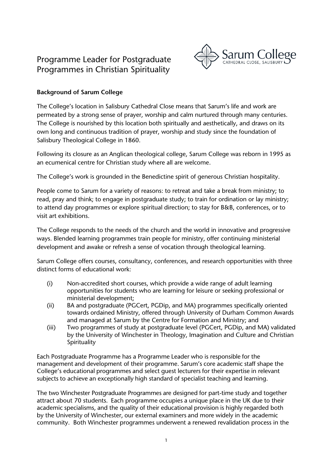# Programme Leader for Postgraduate Programmes in Christian Spirituality



## **Background of Sarum College**

The College's location in Salisbury Cathedral Close means that Sarum's life and work are permeated by a strong sense of prayer, worship and calm nurtured through many centuries. The College is nourished by this location both spiritually and aesthetically, and draws on its own long and continuous tradition of prayer, worship and study since the foundation of Salisbury Theological College in 1860.

Following its closure as an Anglican theological college, Sarum College was reborn in 1995 as an ecumenical centre for Christian study where all are welcome.

The College's work is grounded in the Benedictine spirit of generous Christian hospitality.

People come to Sarum for a variety of reasons: to retreat and take a break from ministry; to read, pray and think; to engage in postgraduate study; to train for ordination or lay ministry; to attend day programmes or explore spiritual direction; to stay for B&B, conferences, or to visit art exhibitions.

The College responds to the needs of the church and the world in innovative and progressive ways. Blended learning programmes train people for ministry, offer continuing ministerial development and awake or refresh a sense of vocation through theological learning.

Sarum College offers courses, consultancy, conferences, and research opportunities with three distinct forms of educational work:

- (i) Non-accredited short courses, which provide a wide range of adult learning opportunities for students who are learning for leisure or seeking professional or ministerial development;
- (ii) BA and postgraduate (PGCert, PGDip, and MA) programmes specifically oriented towards ordained Ministry, offered through University of Durham Common Awards and managed at Sarum by the Centre for Formation and Ministry; and
- (iii) Two programmes of study at postgraduate level (PGCert, PGDip, and MA) validated by the University of Winchester in Theology, Imagination and Culture and Christian Spirituality

Each Postgraduate Programme has a Programme Leader who is responsible for the management and development of their programme. Sarum's core academic staff shape the College's educational programmes and select guest lecturers for their expertise in relevant subjects to achieve an exceptionally high standard of specialist teaching and learning.

The two Winchester Postgraduate Programmes are designed for part-time study and together attract about 70 students. Each programme occupies a unique place in the UK due to their academic specialisms, and the quality of their educational provision is highly regarded both by the University of Winchester, our external examiners and more widely in the academic community. Both Winchester programmes underwent a renewed revalidation process in the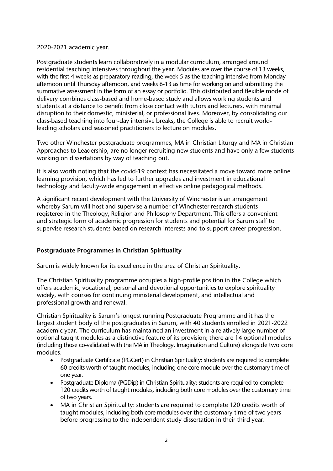#### 2020-2021 academic year.

Postgraduate students learn collaboratively in a modular curriculum, arranged around residential teaching intensives throughout the year. Modules are over the course of 13 weeks, with the first 4 weeks as preparatory reading, the week 5 as the teaching intensive from Monday afternoon until Thursday afternoon, and weeks 6-13 as time for working on and submitting the summative assessment in the form of an essay or portfolio. This distributed and flexible mode of delivery combines class-based and home-based study and allows working students and students at a distance to benefit from close contact with tutors and lecturers, with minimal disruption to their domestic, ministerial, or professional lives. Moreover, by consolidating our class-based teaching into four-day intensive breaks, the College is able to recruit worldleading scholars and seasoned practitioners to lecture on modules.

Two other Winchester postgraduate programmes, MA in Christian Liturgy and MA in Christian Approaches to Leadership, are no longer recruiting new students and have only a few students working on dissertations by way of teaching out.

It is also worth noting that the covid-19 context has necessitated a move toward more online learning provision, which has led to further upgrades and investment in educational technology and faculty-wide engagement in effective online pedagogical methods.

A significant recent development with the University of Winchester is an arrangement whereby Sarum will host and supervise a number of Winchester research students registered in the Theology, Religion and Philosophy Department. This offers a convenient and strategic form of academic progression for students and potential for Sarum staff to supervise research students based on research interests and to support career progression.

#### **Postgraduate Programmes in Christian Spirituality**

Sarum is widely known for its excellence in the area of Christian Spirituality.

The Christian Spirituality programme occupies a high-profile position in the College which offers academic, vocational, personal and devotional opportunities to explore spirituality widely, with courses for continuing ministerial development, and intellectual and professional growth and renewal.

Christian Spirituality is Sarum's longest running Postgraduate Programme and it has the largest student body of the postgraduates in Sarum, with 40 students enrolled in 2021-2022 academic year. The curriculum has maintained an investment in a relatively large number of optional taught modules as a distinctive feature of its provision; there are 14 optional modules (including those co-validated with the MA in Theology, Imagination and Culture) alongside two core modules.

- Postgraduate Certificate (PGCert) in Christian Spirituality: students are required to complete 60 credits worth of taught modules, including one core module over the customary time of one year.
- Postgraduate Diploma (PGDip) in Christian Spirituality: students are required to complete 120 credits worth of taught modules, including both core modules over the customary time of two years.
- MA in Christian Spirituality: students are required to complete 120 credits worth of taught modules, including both core modules over the customary time of two years before progressing to the independent study dissertation in their third year.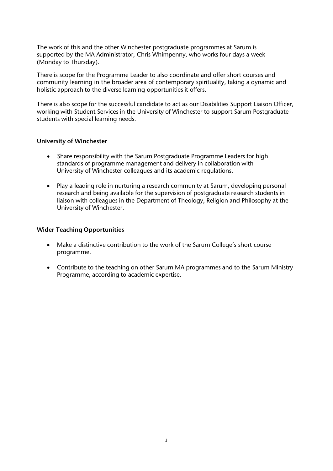The work of this and the other Winchester postgraduate programmes at Sarum is supported by the MA Administrator, Chris Whimpenny, who works four days a week (Monday to Thursday).

There is scope for the Programme Leader to also coordinate and offer short courses and community learning in the broader area of contemporary spirituality, taking a dynamic and holistic approach to the diverse learning opportunities it offers.

There is also scope for the successful candidate to act as our Disabilities Support Liaison Officer, working with Student Services in the University of Winchester to support Sarum Postgraduate students with special learning needs.

#### **University of Winchester**

- Share responsibility with the Sarum Postgraduate Programme Leaders for high standards of programme management and delivery in collaboration with University of Winchester colleagues and its academic regulations.
- Play a leading role in nurturing a research community at Sarum, developing personal research and being available for the supervision of postgraduate research students in liaison with colleagues in the Department of Theology, Religion and Philosophy at the University of Winchester.

#### **Wider Teaching Opportunities**

- Make a distinctive contribution to the work of the Sarum College's short course programme.
- Contribute to the teaching on other Sarum MA programmes and to the Sarum Ministry Programme, according to academic expertise.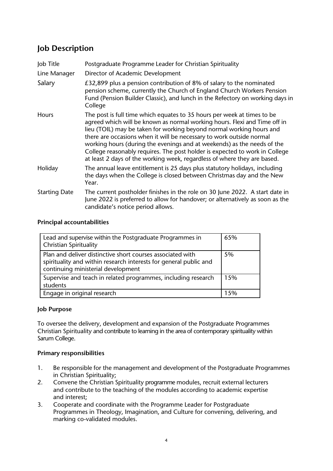# **Job Description**

| Job Title            | Postgraduate Programme Leader for Christian Spirituality                                                                                                                                                                                                                                                                                                                                                                                                                                                                                   |
|----------------------|--------------------------------------------------------------------------------------------------------------------------------------------------------------------------------------------------------------------------------------------------------------------------------------------------------------------------------------------------------------------------------------------------------------------------------------------------------------------------------------------------------------------------------------------|
| Line Manager         | Director of Academic Development                                                                                                                                                                                                                                                                                                                                                                                                                                                                                                           |
| Salary               | £32,899 plus a pension contribution of 8% of salary to the nominated<br>pension scheme, currently the Church of England Church Workers Pension<br>Fund (Pension Builder Classic), and lunch in the Refectory on working days in<br>College                                                                                                                                                                                                                                                                                                 |
| <b>Hours</b>         | The post is full time which equates to 35 hours per week at times to be<br>agreed which will be known as normal working hours. Flexi and Time off in<br>lieu (TOIL) may be taken for working beyond normal working hours and<br>there are occasions when it will be necessary to work outside normal<br>working hours (during the evenings and at weekends) as the needs of the<br>College reasonably requires. The post holder is expected to work in College<br>at least 2 days of the working week, regardless of where they are based. |
| Holiday              | The annual leave entitlement is 25 days plus statutory holidays, including<br>the days when the College is closed between Christmas day and the New<br>Year.                                                                                                                                                                                                                                                                                                                                                                               |
| <b>Starting Date</b> | The current postholder finishes in the role on 30 June 2022. A start date in<br>June 2022 is preferred to allow for handover; or alternatively as soon as the<br>candidate's notice period allows.                                                                                                                                                                                                                                                                                                                                         |

## **Principal accountabilities**

| Lead and supervise within the Postgraduate Programmes in<br><b>Christian Spirituality</b>                                                                             | 65% |
|-----------------------------------------------------------------------------------------------------------------------------------------------------------------------|-----|
| Plan and deliver distinctive short courses associated with<br>spirituality and within research interests for general public and<br>continuing ministerial development | 5%  |
| Supervise and teach in related programmes, including research<br>students                                                                                             | 15% |
| Engage in original research                                                                                                                                           | 15% |

## **Job Purpose**

To oversee the delivery, development and expansion of the Postgraduate Programmes Christian Spirituality and contribute to learning in the area of contemporary spirituality within Sarum College.

## **Primary responsibilities**

- 1. Be responsible for the management and development of the Postgraduate Programmes in Christian Spirituality;
- 2. Convene the Christian Spirituality programme modules, recruit external lecturers and contribute to the teaching of the modules according to academic expertise and interest;
- 3. Cooperate and coordinate with the Programme Leader for Postgraduate Programmes in Theology, Imagination, and Culture for convening, delivering, and marking co-validated modules.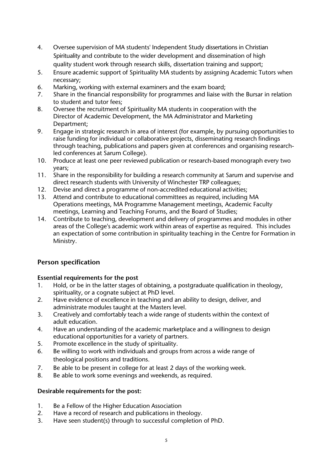- 4. Oversee supervision of MA students' Independent Study dissertations in Christian Spirituality and contribute to the wider development and dissemination of high quality student work through research skills, dissertation training and support;
- 5. Ensure academic support of Spirituality MA students by assigning Academic Tutors when necessary;
- 6. Marking, working with external examiners and the exam board;<br>7. Share in the financial responsibility for programmes and liaise wi
- Share in the financial responsibility for programmes and liaise with the Bursar in relation to student and tutor fees;
- 8. Oversee the recruitment of Spirituality MA students in cooperation with the Director of Academic Development, the MA Administrator and Marketing Department;
- 9. Engage in strategic research in area of interest (for example, by pursuing opportunities to raise funding for individual or collaborative projects, disseminating research findings through teaching, publications and papers given at conferences and organising researchled conferences at Sarum College).
- 10. Produce at least one peer reviewed publication or research-based monograph every two years;
- 11. Share in the responsibility for building a research community at Sarum and supervise and direct research students with University of Winchester TRP colleagues;
- 12. Devise and direct a programme of non-accredited educational activities;
- 13. Attend and contribute to educational committees as required, including MA Operations meetings, MA Programme Management meetings, Academic Faculty meetings, Learning and Teaching Forums, and the Board of Studies;
- 14. Contribute to teaching, development and delivery of programmes and modules in other areas of the College's academic work within areas of expertise as required. This includes an expectation of some contribution in spirituality teaching in the Centre for Formation in Ministry.

## **Person specification**

## **Essential requirements for the post**

- 1. Hold, or be in the latter stages of obtaining, a postgraduate qualification in theology, spirituality, or a cognate subject at PhD level.
- 2. Have evidence of excellence in teaching and an ability to design, deliver, and administrate modules taught at the Masters level.
- 3. Creatively and comfortably teach a wide range of students within the context of adult education.
- 4. Have an understanding of the academic marketplace and a willingness to design educational opportunities for a variety of partners.
- 5. Promote excellence in the study of spirituality.
- 6. Be willing to work with individuals and groups from across a wide range of theological positions and traditions.
- 7. Be able to be present in college for at least 2 days of the working week.
- 8. Be able to work some evenings and weekends, as required.

## **Desirable requirements for the post:**

- 1. Be a Fellow of the Higher Education Association
- 2. Have a record of research and publications in theology.
- 3. Have seen student(s) through to successful completion of PhD.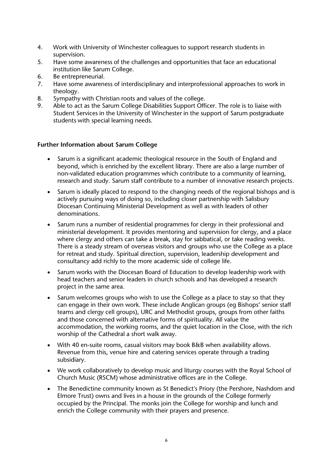- 4. Work with University of Winchester colleagues to support research students in supervision.
- 5. Have some awareness of the challenges and opportunities that face an educational institution like Sarum College.
- 6. Be entrepreneurial.<br>7. Have some awarene
- Have some awareness of interdisciplinary and interprofessional approaches to work in theology.
- 8. Sympathy with Christian roots and values of the college.
- 9. Able to act as the Sarum College Disabilities Support Officer. The role is to liaise with Student Services in the University of Winchester in the support of Sarum postgraduate students with special learning needs.

#### **Further Information about Sarum College**

- Sarum is a significant academic theological resource in the South of England and beyond, which is enriched by the excellent library. There are also a large number of non-validated education programmes which contribute to a community of learning, research and study. Sarum staff contribute to a number of innovative research projects.
- Sarum is ideally placed to respond to the changing needs of the regional bishops and is actively pursuing ways of doing so, including closer partnership with Salisbury Diocesan Continuing Ministerial Development as well as with leaders of other denominations.
- Sarum runs a number of residential programmes for clergy in their professional and ministerial development. It provides mentoring and supervision for clergy, and a place where clergy and others can take a break, stay for sabbatical, or take reading weeks. There is a steady stream of overseas visitors and groups who use the College as a place for retreat and study. Spiritual direction, supervision, leadership development and consultancy add richly to the more academic side of college life.
- Sarum works with the Diocesan Board of Education to develop leadership work with head teachers and senior leaders in church schools and has developed a research project in the same area.
- Sarum welcomes groups who wish to use the College as a place to stay so that they can engage in their own work. These include Anglican groups (eg Bishops' senior staff teams and clergy cell groups), URC and Methodist groups, groups from other faiths and those concerned with alternative forms of spirituality. All value the accommodation, the working rooms, and the quiet location in the Close, with the rich worship of the Cathedral a short walk away.
- With 40 en-suite rooms, casual visitors may book B&B when availability allows. Revenue from this, venue hire and catering services operate through a trading subsidiary.
- We work collaboratively to develop music and liturgy courses with the Royal School of Church Music (RSCM) whose administrative offices are in the College.
- The Benedictine community known as St Benedict's Priory (the Pershore, Nashdom and Elmore Trust) owns and lives in a house in the grounds of the College formerly occupied by the Principal. The monks join the College for worship and lunch and enrich the College community with their prayers and presence.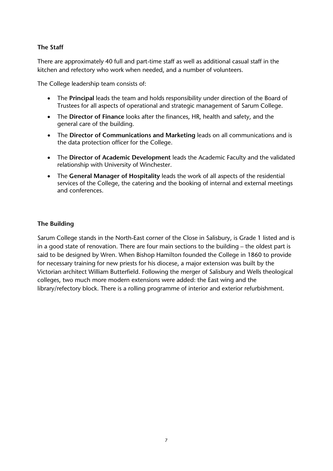## **The Staff**

There are approximately 40 full and part-time staff as well as additional casual staff in the kitchen and refectory who work when needed, and a number of volunteers.

The College leadership team consists of:

- The **Principal** leads the team and holds responsibility under direction of the Board of Trustees for all aspects of operational and strategic management of Sarum College.
- The **Director of Finance** looks after the finances, HR, health and safety, and the general care of the building.
- The **Director of Communications and Marketing** leads on all communications and is the data protection officer for the College.
- The **Director of Academic Development** leads the Academic Faculty and the validated relationship with University of Winchester.
- The **General Manager of Hospitality** leads the work of all aspects of the residential services of the College, the catering and the booking of internal and external meetings and conferences.

## **The Building**

Sarum College stands in the North-East corner of the Close in Salisbury, is Grade 1 listed and is in a good state of renovation. There are four main sections to the building – the oldest part is said to be designed by Wren. When Bishop Hamilton founded the College in 1860 to provide for necessary training for new priests for his diocese, a major extension was built by the Victorian architect William Butterfield. Following the merger of Salisbury and Wells theological colleges, two much more modern extensions were added: the East wing and the library/refectory block. There is a rolling programme of interior and exterior refurbishment.